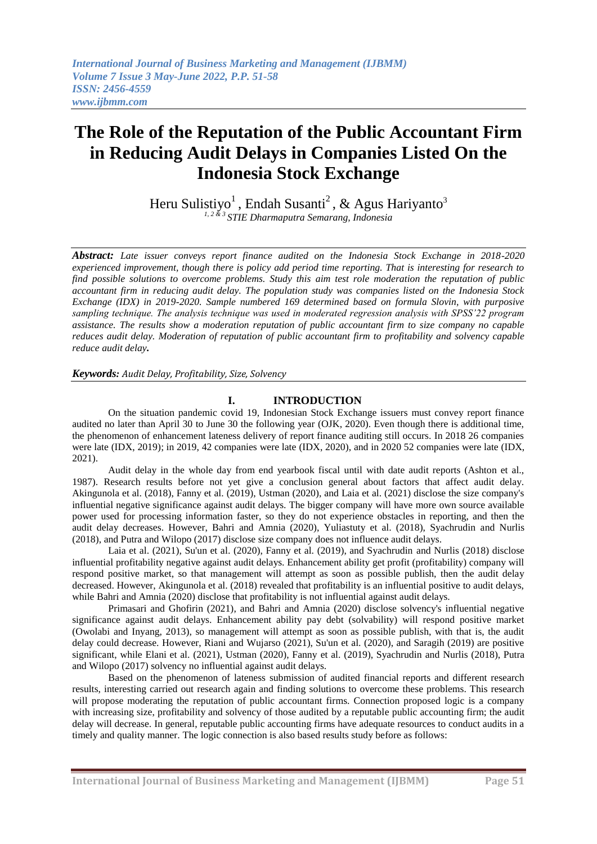# **The Role of the Reputation of the Public Accountant Firm in Reducing Audit Delays in Companies Listed On the Indonesia Stock Exchange**

Heru Sulistiyo<sup>1</sup>, Endah Susanti<sup>2</sup>, & Agus Hariyanto<sup>3</sup> *1, 2 & 3 STIE Dharmaputra Semarang, Indonesia*

*Abstract: Late issuer conveys report finance audited on the Indonesia Stock Exchange in 2018-2020 experienced improvement, though there is policy add period time reporting. That is interesting for research to find possible solutions to overcome problems. Study this aim test role moderation the reputation of public accountant firm in reducing audit delay. The population study was companies listed on the Indonesia Stock Exchange (IDX) in 2019-2020. Sample numbered 169 determined based on formula Slovin, with purposive sampling technique. The analysis technique was used in moderated regression analysis with SPSS'22 program assistance. The results show a moderation reputation of public accountant firm to size company no capable reduces audit delay. Moderation of reputation of public accountant firm to profitability and solvency capable reduce audit delay.*

*Keywords: Audit Delay, Profitability, Size, Solvency*

# **I. INTRODUCTION**

On the situation pandemic covid 19, Indonesian Stock Exchange issuers must convey report finance audited no later than April 30 to June 30 the following year (OJK, 2020). Even though there is additional time, the phenomenon of enhancement lateness delivery of report finance auditing still occurs. In 2018 26 companies were late (IDX, 2019); in 2019, 42 companies were late (IDX, 2020), and in 2020 52 companies were late (IDX, 2021).

Audit delay in the whole day from end yearbook fiscal until with date audit reports (Ashton et al., 1987). Research results before not yet give a conclusion general about factors that affect audit delay. Akingunola et al. (2018), Fanny et al. (2019), Ustman (2020), and Laia et al. (2021) disclose the size company's influential negative significance against audit delays. The bigger company will have more own source available power used for processing information faster, so they do not experience obstacles in reporting, and then the audit delay decreases. However, Bahri and Amnia (2020), Yuliastuty et al. (2018), Syachrudin and Nurlis (2018), and Putra and Wilopo (2017) disclose size company does not influence audit delays.

Laia et al. (2021), Su'un et al. (2020), Fanny et al. (2019), and Syachrudin and Nurlis (2018) disclose influential profitability negative against audit delays. Enhancement ability get profit (profitability) company will respond positive market, so that management will attempt as soon as possible publish, then the audit delay decreased. However, Akingunola et al. (2018) revealed that profitability is an influential positive to audit delays, while Bahri and Amnia (2020) disclose that profitability is not influential against audit delays.

Primasari and Ghofirin (2021), and Bahri and Amnia (2020) disclose solvency's influential negative significance against audit delays. Enhancement ability pay debt (solvability) will respond positive market (Owolabi and Inyang, 2013), so management will attempt as soon as possible publish, with that is, the audit delay could decrease. However, Riani and Wujarso (2021), Su'un et al. (2020), and Saragih (2019) are positive significant, while Elani et al. (2021), Ustman (2020), Fanny et al. (2019), Syachrudin and Nurlis (2018), Putra and Wilopo (2017) solvency no influential against audit delays.

Based on the phenomenon of lateness submission of audited financial reports and different research results, interesting carried out research again and finding solutions to overcome these problems. This research will propose moderating the reputation of public accountant firms. Connection proposed logic is a company with increasing size, profitability and solvency of those audited by a reputable public accounting firm; the audit delay will decrease. In general, reputable public accounting firms have adequate resources to conduct audits in a timely and quality manner. The logic connection is also based results study before as follows: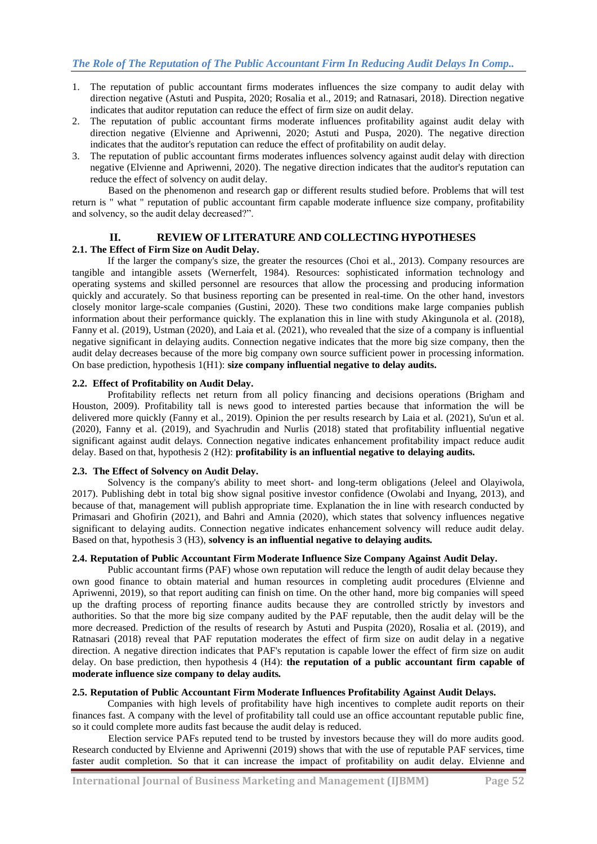- 1. The reputation of public accountant firms moderates influences the size company to audit delay with direction negative (Astuti and Puspita, 2020; Rosalia et al., 2019; and Ratnasari, 2018). Direction negative indicates that auditor reputation can reduce the effect of firm size on audit delay.
- 2. The reputation of public accountant firms moderate influences profitability against audit delay with direction negative (Elvienne and Apriwenni, 2020; Astuti and Puspa, 2020). The negative direction indicates that the auditor's reputation can reduce the effect of profitability on audit delay.
- 3. The reputation of public accountant firms moderates influences solvency against audit delay with direction negative (Elvienne and Apriwenni, 2020). The negative direction indicates that the auditor's reputation can reduce the effect of solvency on audit delay.

Based on the phenomenon and research gap or different results studied before. Problems that will test return is " what " reputation of public accountant firm capable moderate influence size company, profitability and solvency, so the audit delay decreased?".

# **II. REVIEW OF LITERATURE AND COLLECTING HYPOTHESES**

## **2.1. The Effect of Firm Size on Audit Delay.**

If the larger the company's size, the greater the resources (Choi et al., 2013). Company resources are tangible and intangible assets (Wernerfelt, 1984). Resources: sophisticated information technology and operating systems and skilled personnel are resources that allow the processing and producing information quickly and accurately. So that business reporting can be presented in real-time. On the other hand, investors closely monitor large-scale companies (Gustini, 2020). These two conditions make large companies publish information about their performance quickly. The explanation this in line with study Akingunola et al. (2018), Fanny et al. (2019), Ustman (2020), and Laia et al. (2021), who revealed that the size of a company is influential negative significant in delaying audits. Connection negative indicates that the more big size company, then the audit delay decreases because of the more big company own source sufficient power in processing information. On base prediction, hypothesis 1(H1): **size company influential negative to delay audits.**

#### **2.2. Effect of Profitability on Audit Delay.**

Profitability reflects net return from all policy financing and decisions operations (Brigham and Houston, 2009). Profitability tall is news good to interested parties because that information the will be delivered more quickly (Fanny et al., 2019). Opinion the per results research by Laia et al. (2021), Su'un et al. (2020), Fanny et al. (2019), and Syachrudin and Nurlis (2018) stated that profitability influential negative significant against audit delays. Connection negative indicates enhancement profitability impact reduce audit delay. Based on that, hypothesis 2 (H2): **profitability is an influential negative to delaying audits.**

#### **2.3. The Effect of Solvency on Audit Delay.**

Solvency is the company's ability to meet short- and long-term obligations (Jeleel and Olayiwola, 2017). Publishing debt in total big show signal positive investor confidence (Owolabi and Inyang, 2013), and because of that, management will publish appropriate time. Explanation the in line with research conducted by Primasari and Ghofirin (2021), and Bahri and Amnia (2020), which states that solvency influences negative significant to delaying audits. Connection negative indicates enhancement solvency will reduce audit delay. Based on that, hypothesis 3 (H3), **solvency is an influential negative to delaying audits***.*

#### **2.4. Reputation of Public Accountant Firm Moderate Influence Size Company Against Audit Delay.**

Public accountant firms (PAF) whose own reputation will reduce the length of audit delay because they own good finance to obtain material and human resources in completing audit procedures (Elvienne and Apriwenni, 2019), so that report auditing can finish on time. On the other hand, more big companies will speed up the drafting process of reporting finance audits because they are controlled strictly by investors and authorities. So that the more big size company audited by the PAF reputable, then the audit delay will be the more decreased. Prediction of the results of research by Astuti and Puspita (2020), Rosalia et al. (2019), and Ratnasari (2018) reveal that PAF reputation moderates the effect of firm size on audit delay in a negative direction. A negative direction indicates that PAF's reputation is capable lower the effect of firm size on audit delay. On base prediction, then hypothesis 4 (H4): **the reputation of a public accountant firm capable of moderate influence size company to delay audits***.*

#### **2.5. Reputation of Public Accountant Firm Moderate Influences Profitability Against Audit Delays.**

Companies with high levels of profitability have high incentives to complete audit reports on their finances fast. A company with the level of profitability tall could use an office accountant reputable public fine, so it could complete more audits fast because the audit delay is reduced.

Election service PAFs reputed tend to be trusted by investors because they will do more audits good. Research conducted by Elvienne and Apriwenni (2019) shows that with the use of reputable PAF services, time faster audit completion. So that it can increase the impact of profitability on audit delay. Elvienne and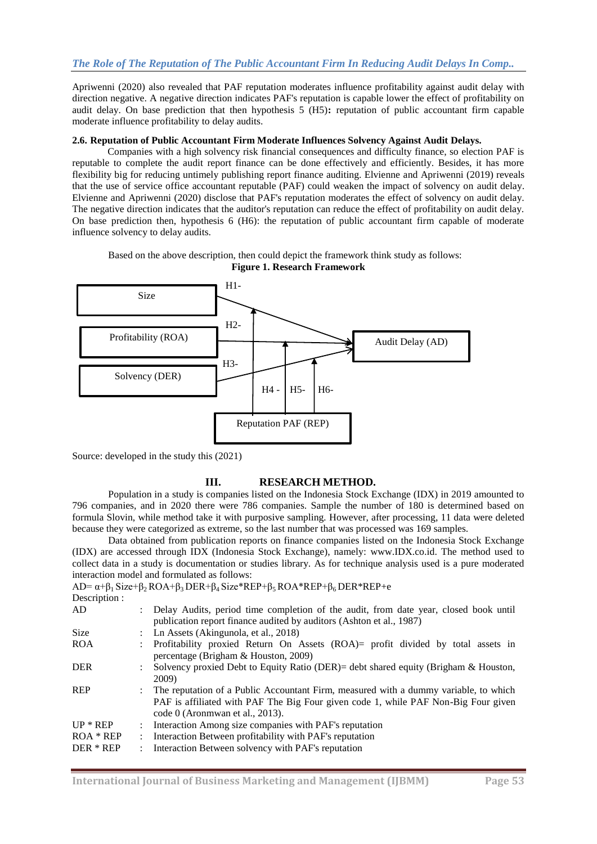Apriwenni (2020) also revealed that PAF reputation moderates influence profitability against audit delay with direction negative. A negative direction indicates PAF's reputation is capable lower the effect of profitability on audit delay. On base prediction that then hypothesis 5 (H5)**:** reputation of public accountant firm capable moderate influence profitability to delay audits.

#### **2.6. Reputation of Public Accountant Firm Moderate Influences Solvency Against Audit Delays.**

Companies with a high solvency risk financial consequences and difficulty finance, so election PAF is reputable to complete the audit report finance can be done effectively and efficiently. Besides, it has more flexibility big for reducing untimely publishing report finance auditing. Elvienne and Apriwenni (2019) reveals that the use of service office accountant reputable (PAF) could weaken the impact of solvency on audit delay. Elvienne and Apriwenni (2020) disclose that PAF's reputation moderates the effect of solvency on audit delay. The negative direction indicates that the auditor's reputation can reduce the effect of profitability on audit delay. On base prediction then, hypothesis 6 (H6): the reputation of public accountant firm capable of moderate influence solvency to delay audits.

Based on the above description, then could depict the framework think study as follows: **Figure 1. Research Framework**



Source: developed in the study this (2021)

# **III. RESEARCH METHOD.**

Population in a study is companies listed on the Indonesia Stock Exchange (IDX) in 2019 amounted to 796 companies, and in 2020 there were 786 companies. Sample the number of 180 is determined based on formula Slovin, while method take it with purposive sampling*.* However, after processing, 11 data were deleted because they were categorized as extreme, so the last number that was processed was 169 samples.

Data obtained from publication reports on finance companies listed on the Indonesia Stock Exchange (IDX) are accessed through IDX (Indonesia Stock Exchange), namely: www.IDX.co.id. The method used to collect data in a study is documentation or studies library. As for technique analysis used is a pure moderated interaction model and formulated as follows:

AD=  $\alpha + \beta_1$  Size+ $\beta_2$  ROA+ $\beta_3$  DER+ $\beta_4$  Size\*REP+ $\beta_5$  ROA\*REP+ $\beta_6$  DER\*REP+e Description :

| Description: |                             |                                                                                                                                                                                                                   |
|--------------|-----------------------------|-------------------------------------------------------------------------------------------------------------------------------------------------------------------------------------------------------------------|
| AD           |                             | : Delay Audits, period time completion of the audit, from date year, closed book until<br>publication report finance audited by auditors (Ashton et al., 1987)                                                    |
| <b>Size</b>  |                             | : Ln Assets (Akingunola, et al., 2018)                                                                                                                                                                            |
| <b>ROA</b>   |                             | : Profitability proxied Return On Assets (ROA)= profit divided by total assets in<br>percentage (Brigham & Houston, 2009)                                                                                         |
| <b>DER</b>   |                             | Solvency proxied Debt to Equity Ratio (DER)= debt shared equity (Brigham & Houston,<br>2009)                                                                                                                      |
| <b>REP</b>   |                             | : The reputation of a Public Accountant Firm, measured with a dummy variable, to which<br>PAF is affiliated with PAF The Big Four given code 1, while PAF Non-Big Four given<br>code $0$ (Aronmwan et al., 2013). |
| $UP * REP$   | $\mathbb{R}^{\mathbb{Z}}$   | Interaction Among size companies with PAF's reputation                                                                                                                                                            |
| $ROA * REP$  | $\mathbb{R}^{\mathbb{Z}}$   | Interaction Between profitability with PAF's reputation                                                                                                                                                           |
| DER * REP    | $\mathcal{I}^{\mathcal{I}}$ | Interaction Between solvency with PAF's reputation                                                                                                                                                                |
|              |                             |                                                                                                                                                                                                                   |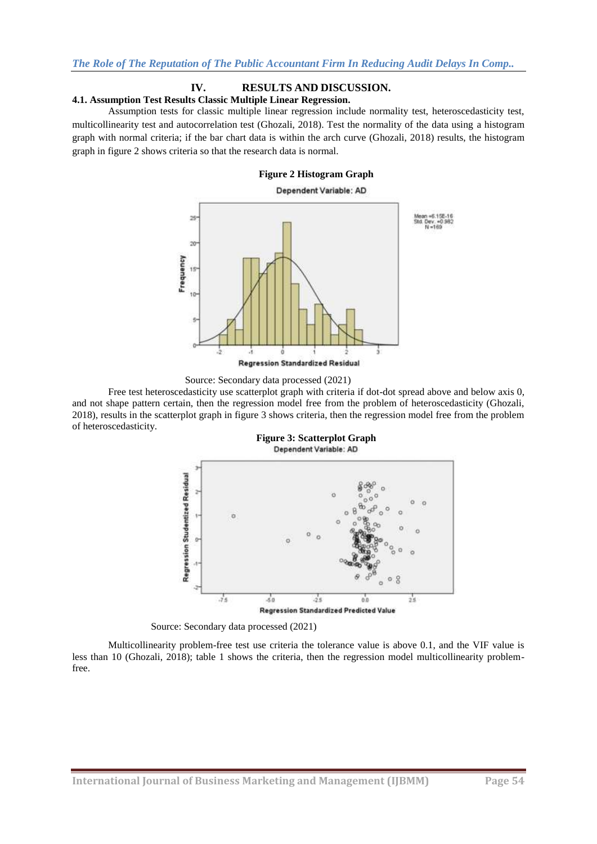# **IV. RESULTS AND DISCUSSION.**

## **4.1. Assumption Test Results Classic Multiple Linear Regression.**

Assumption tests for classic multiple linear regression include normality test, heteroscedasticity test, multicollinearity test and autocorrelation test (Ghozali, 2018). Test the normality of the data using a histogram graph with normal criteria; if the bar chart data is within the arch curve (Ghozali, 2018) results, the histogram graph in figure 2 shows criteria so that the research data is normal.

#### **Figure 2 Histogram Graph**

# Dependent Variable: AD 39 Эè Frequency 15 ŧ٥ **Regression Standardized Residual**



Free test heteroscedasticity use scatterplot graph with criteria if dot-dot spread above and below axis 0, and not shape pattern certain, then the regression model free from the problem of heteroscedasticity (Ghozali, 2018), results in the scatterplot graph in figure 3 shows criteria, then the regression model free from the problem of heteroscedasticity.







Multicollinearity problem-free test use criteria the tolerance value is above 0.1, and the VIF value is less than 10 (Ghozali, 2018); table 1 shows the criteria, then the regression model multicollinearity problemfree.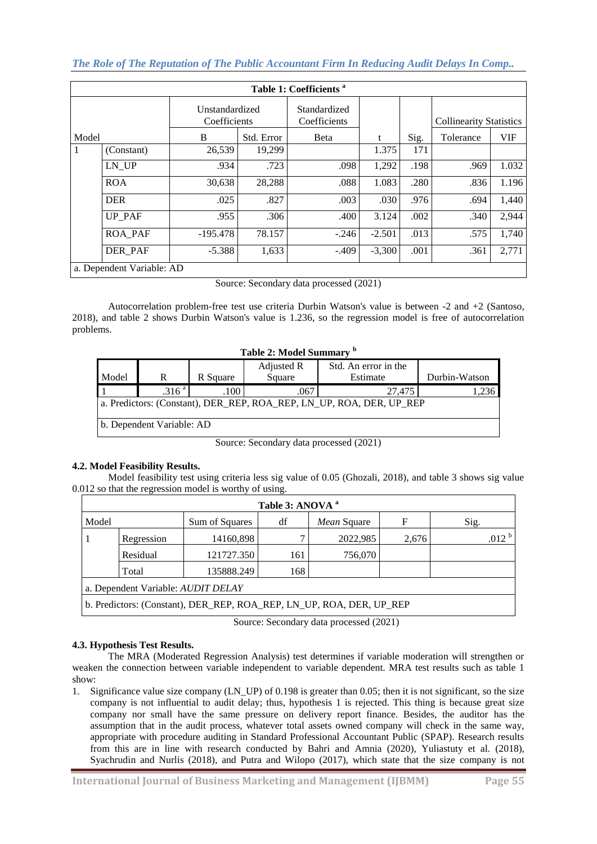*The Role of The Reputation of The Public Accountant Firm In Reducing Audit Delays In Comp..*

| Table 1: Coefficients <sup>a</sup> |                           |                                |            |                              |          |      |                                |            |  |
|------------------------------------|---------------------------|--------------------------------|------------|------------------------------|----------|------|--------------------------------|------------|--|
|                                    |                           | Unstandardized<br>Coefficients |            | Standardized<br>Coefficients |          |      | <b>Collinearity Statistics</b> |            |  |
| Model                              |                           | B                              | Std. Error | Beta                         | t        | Sig. | Tolerance                      | <b>VIF</b> |  |
| 1                                  | (Constant)                | 26,539                         | 19,299     |                              | 1.375    | 171  |                                |            |  |
|                                    | LN UP                     | .934                           | .723       | .098                         | 1,292    | .198 | .969                           | 1.032      |  |
|                                    | <b>ROA</b>                | 30,638                         | 28,288     | .088                         | 1.083    | .280 | .836                           | 1.196      |  |
|                                    | <b>DER</b>                | .025                           | .827       | .003                         | .030     | .976 | .694                           | 1,440      |  |
|                                    | UP PAF                    | .955                           | .306       | .400                         | 3.124    | .002 | .340                           | 2,944      |  |
|                                    | <b>ROA PAF</b>            | $-195.478$                     | 78.157     | $-.246$                      | $-2.501$ | .013 | .575                           | 1,740      |  |
|                                    | DER PAF                   | $-5.388$                       | 1,633      | $-.409$                      | $-3,300$ | .001 | .361                           | 2,771      |  |
|                                    | a. Dependent Variable: AD |                                |            |                              |          |      |                                |            |  |

Source: Secondary data processed (2021)

Autocorrelation problem-free test use criteria Durbin Watson's value is between -2 and +2 (Santoso, 2018), and table 2 shows Durbin Watson's value is 1.236, so the regression model is free of autocorrelation problems.

|  |  |  |  |  | <b>Table 2: Model Summary</b> |  |
|--|--|--|--|--|-------------------------------|--|
|--|--|--|--|--|-------------------------------|--|

|                                                                      |                   |          | Adjusted R | Std. An error in the |               |  |  |  |
|----------------------------------------------------------------------|-------------------|----------|------------|----------------------|---------------|--|--|--|
| Model                                                                | R                 | R Square | Square     | Estimate             | Durbin-Watson |  |  |  |
|                                                                      | .316 <sup>a</sup> | .100     | .067       | 27.475               | .,236         |  |  |  |
| a. Predictors: (Constant), DER_REP, ROA_REP, LN_UP, ROA, DER, UP_REP |                   |          |            |                      |               |  |  |  |
| b. Dependent Variable: AD                                            |                   |          |            |                      |               |  |  |  |

Source: Secondary data processed (2021)

# **4.2. Model Feasibility Results.**

Model feasibility test using criteria less sig value of 0.05 (Ghozali, 2018), and table 3 shows sig value 0.012 so that the regression model is worthy of using.

| Table 3: ANOVA <sup>a</sup>                                          |                                                                   |                |    |             |   |      |  |  |  |
|----------------------------------------------------------------------|-------------------------------------------------------------------|----------------|----|-------------|---|------|--|--|--|
| Model                                                                |                                                                   | Sum of Squares | df | Mean Square | F | Sig. |  |  |  |
|                                                                      | .012 <sup>b</sup><br>2022,985<br>14160,898<br>Regression<br>2,676 |                |    |             |   |      |  |  |  |
| 121727.350<br>756,070<br>Residual<br>161                             |                                                                   |                |    |             |   |      |  |  |  |
|                                                                      | 135888.249<br>168<br>Total                                        |                |    |             |   |      |  |  |  |
| a. Dependent Variable: AUDIT DELAY                                   |                                                                   |                |    |             |   |      |  |  |  |
| b. Predictors: (Constant), DER_REP, ROA_REP, LN_UP, ROA, DER, UP_REP |                                                                   |                |    |             |   |      |  |  |  |

Source: Secondary data processed (2021)

# **4.3. Hypothesis Test Results.**

The MRA (Moderated Regression Analysis) test determines if variable moderation will strengthen or weaken the connection between variable independent to variable dependent. MRA test results such as table 1 show:

1. Significance value size company (LN\_UP) of 0.198 is greater than 0.05; then it is not significant, so the size company is not influential to audit delay; thus, hypothesis 1 is rejected. This thing is because great size company nor small have the same pressure on delivery report finance. Besides, the auditor has the assumption that in the audit process, whatever total assets owned company will check in the same way, appropriate with procedure auditing in Standard Professional Accountant Public (SPAP). Research results from this are in line with research conducted by Bahri and Amnia (2020), Yuliastuty et al. (2018), Syachrudin and Nurlis (2018), and Putra and Wilopo (2017), which state that the size company is not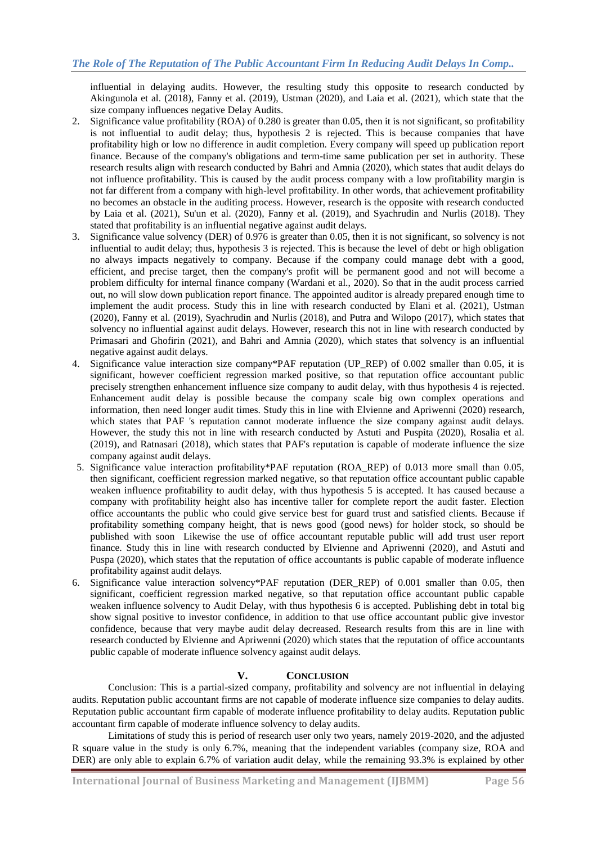influential in delaying audits. However, the resulting study this opposite to research conducted by Akingunola et al. (2018), Fanny et al. (2019), Ustman (2020), and Laia et al. (2021), which state that the size company influences negative Delay Audits.

- 2. Significance value profitability (ROA) of 0.280 is greater than 0.05, then it is not significant, so profitability is not influential to audit delay; thus, hypothesis 2 is rejected. This is because companies that have profitability high or low no difference in audit completion. Every company will speed up publication report finance. Because of the company's obligations and term-time same publication per set in authority. These research results align with research conducted by Bahri and Amnia (2020), which states that audit delays do not influence profitability. This is caused by the audit process company with a low profitability margin is not far different from a company with high-level profitability. In other words, that achievement profitability no becomes an obstacle in the auditing process. However, research is the opposite with research conducted by Laia et al. (2021), Su'un et al. (2020), Fanny et al. (2019), and Syachrudin and Nurlis (2018). They stated that profitability is an influential negative against audit delays.
- 3. Significance value solvency (DER) of 0.976 is greater than 0.05, then it is not significant, so solvency is not influential to audit delay; thus, hypothesis 3 is rejected. This is because the level of debt or high obligation no always impacts negatively to company. Because if the company could manage debt with a good, efficient, and precise target, then the company's profit will be permanent good and not will become a problem difficulty for internal finance company (Wardani et al., 2020). So that in the audit process carried out, no will slow down publication report finance. The appointed auditor is already prepared enough time to implement the audit process. Study this in line with research conducted by Elani et al. (2021), Ustman (2020), Fanny et al. (2019), Syachrudin and Nurlis (2018), and Putra and Wilopo (2017), which states that solvency no influential against audit delays. However, research this not in line with research conducted by Primasari and Ghofirin (2021), and Bahri and Amnia (2020), which states that solvency is an influential negative against audit delays.
- 4. Significance value interaction size company\*PAF reputation (UP\_REP) of 0.002 smaller than 0.05, it is significant, however coefficient regression marked positive, so that reputation office accountant public precisely strengthen enhancement influence size company to audit delay*,* with thus hypothesis 4 is rejected. Enhancement audit delay is possible because the company scale big own complex operations and information, then need longer audit times. Study this in line with Elvienne and Apriwenni (2020) research, which states that PAF 's reputation cannot moderate influence the size company against audit delays. However, the study this not in line with research conducted by Astuti and Puspita (2020), Rosalia et al. (2019), and Ratnasari (2018), which states that PAF's reputation is capable of moderate influence the size company against audit delays.
- 5. Significance value interaction profitability\*PAF reputation (ROA\_REP) of 0.013 more small than 0.05, then significant, coefficient regression marked negative, so that reputation office accountant public capable weaken influence profitability to audit delay, with thus hypothesis 5 is accepted. It has caused because a company with profitability height also has incentive taller for complete report the audit faster. Election office accountants the public who could give service best for guard trust and satisfied clients. Because if profitability something company height, that is news good (good news) for holder stock, so should be published with soon Likewise the use of office accountant reputable public will add trust user report finance. Study this in line with research conducted by Elvienne and Apriwenni (2020), and Astuti and Puspa (2020), which states that the reputation of office accountants is public capable of moderate influence profitability against audit delays.
- 6. Significance value interaction solvency\*PAF reputation (DER\_REP) of 0.001 smaller than 0.05, then significant, coefficient regression marked negative, so that reputation office accountant public capable weaken influence solvency to Audit Delay, with thus hypothesis 6 is accepted. Publishing debt in total big show signal positive to investor confidence, in addition to that use office accountant public give investor confidence, because that very maybe audit delay decreased. Research results from this are in line with research conducted by Elvienne and Apriwenni (2020) which states that the reputation of office accountants public capable of moderate influence solvency against audit delays.

# **V. CONCLUSION**

Conclusion: This is a partial-sized company, profitability and solvency are not influential in delaying audits. Reputation public accountant firms are not capable of moderate influence size companies to delay audits. Reputation public accountant firm capable of moderate influence profitability to delay audits. Reputation public accountant firm capable of moderate influence solvency to delay audits.

Limitations of study this is period of research user only two years, namely 2019-2020, and the adjusted R square value in the study is only 6.7%, meaning that the independent variables (company size, ROA and DER) are only able to explain 6.7% of variation audit delay, while the remaining 93.3% is explained by other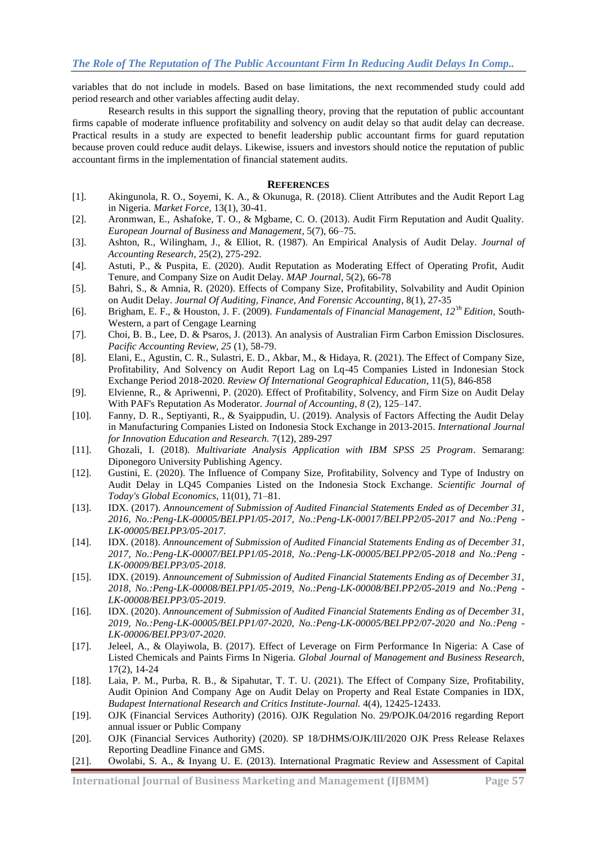variables that do not include in models. Based on base limitations, the next recommended study could add period research and other variables affecting audit delay.

Research results in this support the signalling theory, proving that the reputation of public accountant firms capable of moderate influence profitability and solvency on audit delay so that audit delay can decrease. Practical results in a study are expected to benefit leadership public accountant firms for guard reputation because proven could reduce audit delays. Likewise, issuers and investors should notice the reputation of public accountant firms in the implementation of financial statement audits.

#### **REFERENCES**

- [1]. Akingunola, R. O., Soyemi, K. A., & Okunuga, R. (2018). Client Attributes and the Audit Report Lag in Nigeria. *Market Force*, 13(1), 30-41.
- [2]. Aronmwan, E., Ashafoke, T. O., & Mgbame, C. O. (2013). Audit Firm Reputation and Audit Quality. *European Journal of Business and Management*, 5(7), 66–75.
- [3]. Ashton, R., Wilingham, J., & Elliot, R. (1987). An Empirical Analysis of Audit Delay. *Journal of Accounting Research*, 25(2), 275-292.
- [4]. Astuti, P., & Puspita, E. (2020). Audit Reputation as Moderating Effect of Operating Profit, Audit Tenure, and Company Size on Audit Delay. *MAP Journal*, 5(2), 66-78
- [5]. Bahri, S., & Amnia, R. (2020). Effects of Company Size, Profitability, Solvability and Audit Opinion on Audit Delay. *Journal Of Auditing, Finance, And Forensic Accounting*, 8(1), 27-35
- [6]. Brigham, E. F., & Houston, J. F. (2009). *Fundamentals of Financial Management, 12'th Edition,* South-Western, a part of Cengage Learning
- [7]. Choi, B. B., Lee, D. & Psaros, J. (2013). An analysis of Australian Firm Carbon Emission Disclosures. *Pacific Accounting Review, 25* (1), 58-79.
- [8]. Elani, E., Agustin, C. R., Sulastri, E. D., Akbar, M., & Hidaya, R. (2021). The Effect of Company Size, Profitability, And Solvency on Audit Report Lag on Lq-45 Companies Listed in Indonesian Stock Exchange Period 2018-2020. *Review Of International Geographical Education*, 11(5), 846-858
- [9]. Elvienne, R., & Apriwenni, P. (2020). Effect of Profitability, Solvency, and Firm Size on Audit Delay With PAF's Reputation As Moderator. *Journal of Accounting*, *8* (2), 125–147.
- [10]. Fanny, D. R., Septiyanti, R., & Syaippudin, U. (2019). Analysis of Factors Affecting the Audit Delay in Manufacturing Companies Listed on Indonesia Stock Exchange in 2013-2015. *International Journal for Innovation Education and Research.* 7(12), 289-297
- [11]. Ghozali, I. (2018). *Multivariate Analysis Application with IBM SPSS 25 Program*. Semarang: Diponegoro University Publishing Agency.
- [12]. Gustini, E. (2020). The Influence of Company Size, Profitability, Solvency and Type of Industry on Audit Delay in LQ45 Companies Listed on the Indonesia Stock Exchange. *Scientific Journal of Today's Global Economics*, 11(01), 71–81.
- [13]. IDX. (2017). *Announcement of Submission of Audited Financial Statements Ended as of December 31, 2016, No.:Peng-LK-00005/BEI.PP1/05-2017, No.:Peng-LK-00017/BEI.PP2/05-2017 and No.:Peng - LK-00005/BEI.PP3/05-2017*.
- [14]. IDX. (2018). *Announcement of Submission of Audited Financial Statements Ending as of December 31, 2017, No.:Peng-LK-00007/BEI.PP1/05-2018, No.:Peng-LK-00005/BEI.PP2/05-2018 and No.:Peng - LK-00009/BEI.PP3/05-2018*.
- [15]. IDX. (2019). *Announcement of Submission of Audited Financial Statements Ending as of December 31, 2018, No.:Peng-LK-00008/BEI.PP1/05-2019, No.:Peng-LK-00008/BEI.PP2/05-2019 and No.:Peng - LK-00008/BEI.PP3/05-2019*.
- [16]. IDX. (2020). *Announcement of Submission of Audited Financial Statements Ending as of December 31, 2019, No.:Peng-LK-00005/BEI.PP1/07-2020, No.:Peng-LK-00005/BEI.PP2/07-2020 and No.:Peng - LK-00006/BEI.PP3/07-2020*.
- [17]. Jeleel, A., & Olayiwola, B. (2017). Effect of Leverage on Firm Performance In Nigeria: A Case of Listed Chemicals and Paints Firms In Nigeria. *Global Journal of Management and Business Research,*  17(2), 14-24
- [18]. Laia, P. M., Purba, R. B., & Sipahutar, T. T. U. (2021). The Effect of Company Size, Profitability, Audit Opinion And Company Age on Audit Delay on Property and Real Estate Companies in IDX, *Budapest International Research and Critics Institute-Journal.* 4(4), 12425-12433.
- [19]. OJK (Financial Services Authority) (2016). OJK Regulation No. 29/POJK.04/2016 regarding Report annual issuer or Public Company
- [20]. OJK (Financial Services Authority) (2020). SP 18/DHMS/OJK/III/2020 OJK Press Release Relaxes Reporting Deadline Finance and GMS.
- [21]. Owolabi, S. A., & Inyang U. E. (2013). International Pragmatic Review and Assessment of Capital

**International Journal of Business Marketing and Management (IJBMM) Page 57**